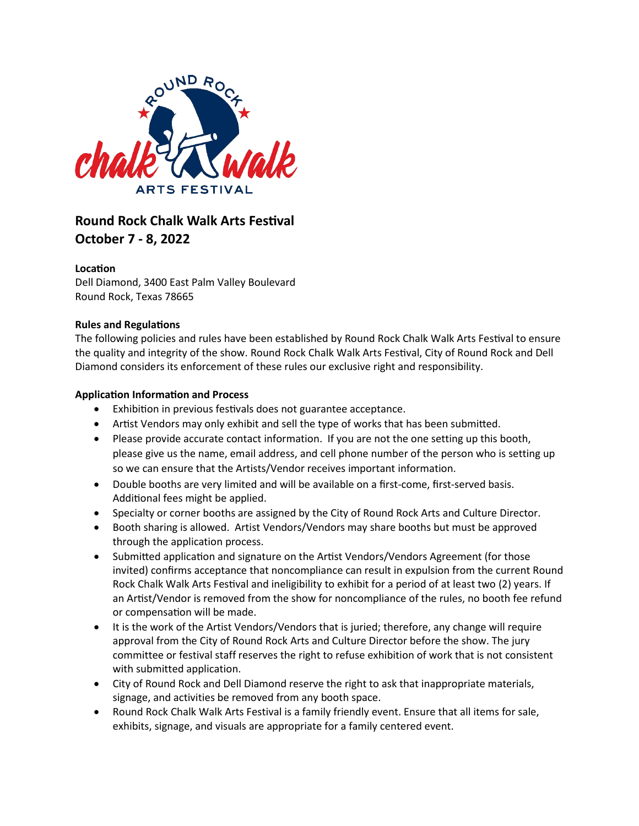

# **Round Rock Chalk Walk Arts Festival October 7 - 8, 2022**

# Location

Dell Diamond, 3400 East Palm Valley Boulevard Round Rock, Texas 78665

# **Rules and Regulations**

The following policies and rules have been established by Round Rock Chalk Walk Arts Festival to ensure the quality and integrity of the show. Round Rock Chalk Walk Arts Festival, City of Round Rock and Dell Diamond considers its enforcement of these rules our exclusive right and responsibility.

# **Application Information and Process**

- Exhibition in previous festivals does not guarantee acceptance.
- Artist Vendors may only exhibit and sell the type of works that has been submitted.
- Please provide accurate contact information. If you are not the one setting up this booth, please give us the name, email address, and cell phone number of the person who is setting up so we can ensure that the Artists/Vendor receives important information.
- Double booths are very limited and will be available on a first-come, first-served basis. Additional fees might be applied.
- Specialty or corner booths are assigned by the City of Round Rock Arts and Culture Director.
- Booth sharing is allowed. Artist Vendors/Vendors may share booths but must be approved through the application process.
- Submitted application and signature on the Artist Vendors/Vendors Agreement (for those invited) confirms acceptance that noncompliance can result in expulsion from the current Round Rock Chalk Walk Arts Festival and ineligibility to exhibit for a period of at least two (2) years. If an Artist/Vendor is removed from the show for noncompliance of the rules, no booth fee refund or compensation will be made.
- It is the work of the Artist Vendors/Vendors that is juried; therefore, any change will require approval from the City of Round Rock Arts and Culture Director before the show. The jury committee or festival staff reserves the right to refuse exhibition of work that is not consistent with submitted application.
- City of Round Rock and Dell Diamond reserve the right to ask that inappropriate materials, signage, and activities be removed from any booth space.
- Round Rock Chalk Walk Arts Festival is a family friendly event. Ensure that all items for sale, exhibits, signage, and visuals are appropriate for a family centered event.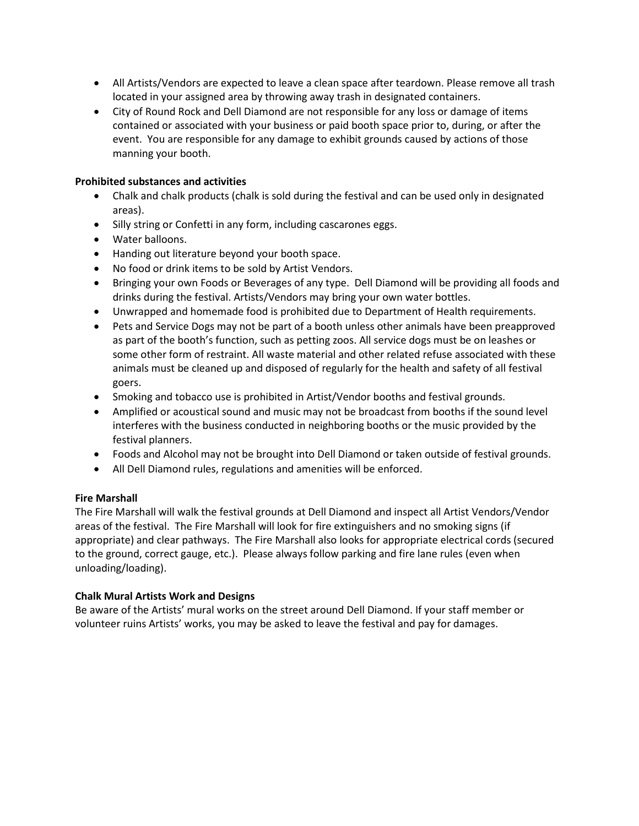- All Artists/Vendors are expected to leave a clean space after teardown. Please remove all trash located in your assigned area by throwing away trash in designated containers.
- City of Round Rock and Dell Diamond are not responsible for any loss or damage of items contained or associated with your business or paid booth space prior to, during, or after the event. You are responsible for any damage to exhibit grounds caused by actions of those manning your booth.

# **Prohibited substances and activities**

- Chalk and chalk products (chalk is sold during the festival and can be used only in designated areas).
- Silly string or Confetti in any form, including cascarones eggs.
- Water balloons.
- Handing out literature beyond your booth space.
- No food or drink items to be sold by Artist Vendors.
- Bringing your own Foods or Beverages of any type. Dell Diamond will be providing all foods and drinks during the festival. Artists/Vendors may bring your own water bottles.
- Unwrapped and homemade food is prohibited due to Department of Health requirements.
- Pets and Service Dogs may not be part of a booth unless other animals have been preapproved as part of the booth's function, such as petting zoos. All service dogs must be on leashes or some other form of restraint. All waste material and other related refuse associated with these animals must be cleaned up and disposed of regularly for the health and safety of all festival goers.
- Smoking and tobacco use is prohibited in Artist/Vendor booths and festival grounds.
- Amplified or acoustical sound and music may not be broadcast from booths if the sound level interferes with the business conducted in neighboring booths or the music provided by the festival planners.
- Foods and Alcohol may not be brought into Dell Diamond or taken outside of festival grounds.
- All Dell Diamond rules, regulations and amenities will be enforced.

# **Fire Marshall**

The Fire Marshall will walk the festival grounds at Dell Diamond and inspect all Artist Vendors/Vendor areas of the festival. The Fire Marshall will look for fire extinguishers and no smoking signs (if appropriate) and clear pathways. The Fire Marshall also looks for appropriate electrical cords (secured to the ground, correct gauge, etc.). Please always follow parking and fire lane rules (even when unloading/loading).

# **Chalk Mural Artists Work and Designs**

Be aware of the Artists' mural works on the street around Dell Diamond. If your staff member or volunteer ruins Artists' works, you may be asked to leave the festival and pay for damages.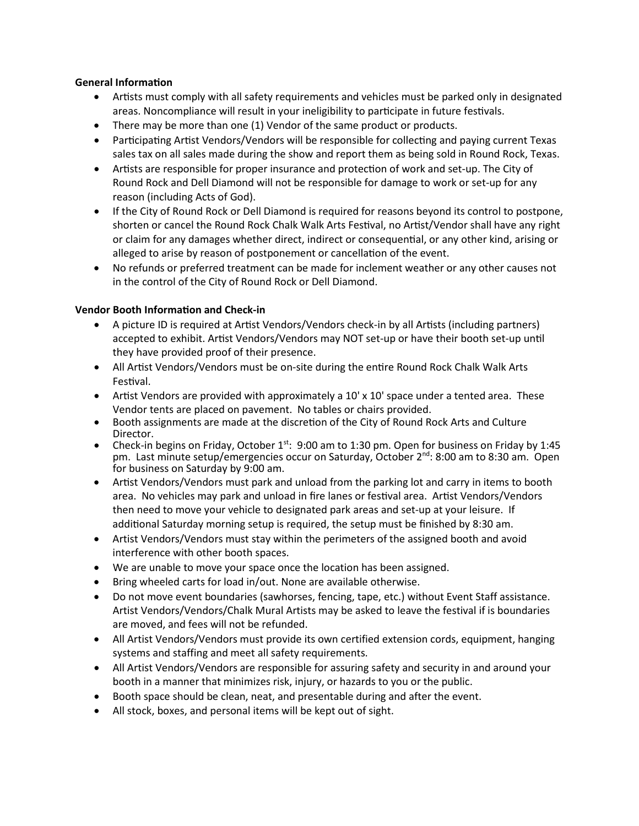# **General Information**

- Artists must comply with all safety requirements and vehicles must be parked only in designated areas. Noncompliance will result in your ineligibility to participate in future festivals.
- There may be more than one (1) Vendor of the same product or products.
- Participating Artist Vendors/Vendors will be responsible for collecting and paying current Texas sales tax on all sales made during the show and report them as being sold in Round Rock, Texas.
- Artists are responsible for proper insurance and protection of work and set-up. The City of Round Rock and Dell Diamond will not be responsible for damage to work or set-up for any reason (including Acts of God).
- If the City of Round Rock or Dell Diamond is required for reasons beyond its control to postpone, shorten or cancel the Round Rock Chalk Walk Arts Festival, no Artist/Vendor shall have any right or claim for any damages whether direct, indirect or consequen�al, or any other kind, arising or alleged to arise by reason of postponement or cancellation of the event.
- No refunds or preferred treatment can be made for inclement weather or any other causes not in the control of the City of Round Rock or Dell Diamond.

# **Vendor Booth Information and Check-in**

- A picture ID is required at Artist Vendors/Vendors check-in by all Artists (including partners) accepted to exhibit. Artist Vendors/Vendors may NOT set-up or have their booth set-up until they have provided proof of their presence.
- All Artist Vendors/Vendors must be on-site during the entire Round Rock Chalk Walk Arts Festival.
- Artist Vendors are provided with approximately a  $10' \times 10'$  space under a tented area. These Vendor tents are placed on pavement. No tables or chairs provided.
- Booth assignments are made at the discretion of the City of Round Rock Arts and Culture
- Director.<br>• Check-in begins on Friday, October 1<sup>st</sup>: 9:00 am to 1:30 pm. Open for business on Friday by 1:45 pm. Last minute setup/emergencies occur on Saturday, October 2<sup>nd</sup>: 8:00 am to 8:30 am. Open for business on Saturday by 9:00 am.
- Artist Vendors/Vendors must park and unload from the parking lot and carry in items to booth area. No vehicles may park and unload in fire lanes or festival area. Artist Vendors/Vendors then need to move your vehicle to designated park areas and set-up at your leisure. If additional Saturday morning setup is required, the setup must be finished by 8:30 am.
- Artist Vendors/Vendors must stay within the perimeters of the assigned booth and avoid interference with other booth spaces.
- We are unable to move your space once the location has been assigned.
- Bring wheeled carts for load in/out. None are available otherwise.
- Do not move event boundaries (sawhorses, fencing, tape, etc.) without Event Staff assistance. Artist Vendors/Vendors/Chalk Mural Artists may be asked to leave the festival if is boundaries are moved, and fees will not be refunded.
- All Artist Vendors/Vendors must provide its own certified extension cords, equipment, hanging systems and staffing and meet all safety requirements.
- All Artist Vendors/Vendors are responsible for assuring safety and security in and around your booth in a manner that minimizes risk, injury, or hazards to you or the public.
- Booth space should be clean, neat, and presentable during and after the event.
- All stock, boxes, and personal items will be kept out of sight.